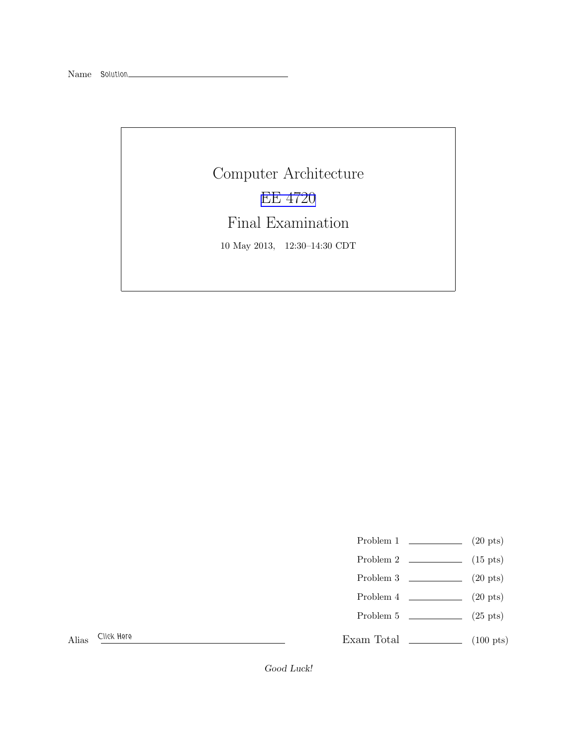Computer Architecture [EE 4720](http://www.ece.lsu.edu/ee4720/) Final Examination 10 May 2013, 12:30–14:30 CDT

Problem 1  $\qquad \qquad$  (20 pts)

- Problem 2  $\qquad \qquad$  (15 pts)
- Problem 3  $\qquad \qquad (20 \text{ pts})$
- Problem 4  $\qquad \qquad (20 \text{ pts})$
- Problem 5 (25 pts)

Alias Click Here

Exam Total \_\_\_\_\_\_\_\_\_\_\_\_\_ (100 pts)

Good Luck!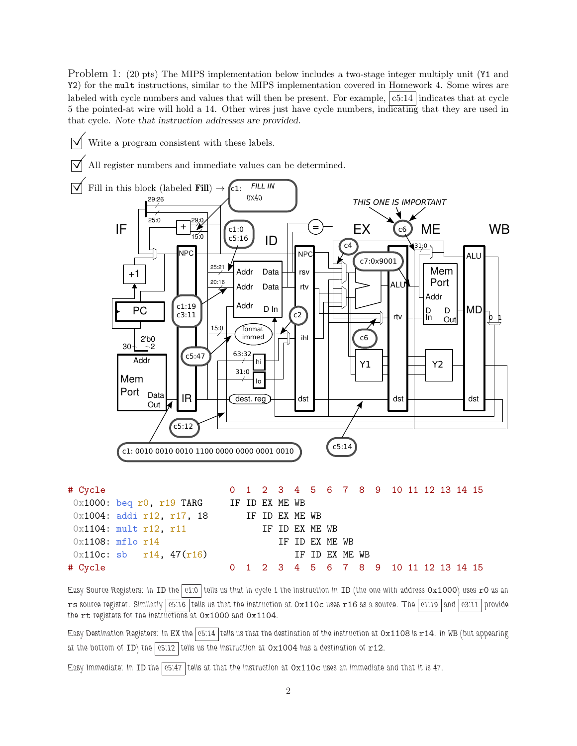Problem 1: (20 pts) The MIPS implementation below includes a two-stage integer multiply unit (Y1 and Y2) for the mult instructions, similar to the MIPS implementation covered in Homework 4. Some wires are labeled with cycle numbers and values that will then be present. For example,  $|c5:14|$  indicates that at cycle 5 the pointed-at wire will hold a 14. Other wires just have cycle numbers, indicating that they are used in that cycle. Note that instruction addresses are provided.

- Write a program consistent with these labels.
- $\triangledown$  All register numbers and immediate values can be determined.



Easy Source Registers: In ID the  $\boxed{c1.0}$  tells us that in cycle 1 the instruction in ID (the one with address 0x1000) uses r0 as an rs source register. Similarly  $\boxed{c5:16}$  tells us that the instruction at  $0x110c$  uses r16 as a source. The  $\boxed{c1:19}$  and  $\boxed{c3:11}$  provide the rt registers for the instructions at 0x1000 and 0x1104.

# Cycle 0 1 2 3 4 5 6 7 8 9 10 11 12 13 14 15

Easy Destination Registers: In EX the  $\overline{c}$  c5:14 tells us that the destination of the instruction at  $0x1108$  is  $x14$ . In WB (but appearing at the bottom of ID) the  $\boxed{c5:12}$  tells us the instruction at  $0x1004$  has a destination of  $r12$ .

Easy Immediate: In ID the  $\sqrt{65.47}$  tells at that the instruction at  $0x110c$  uses an immediate and that it is 47.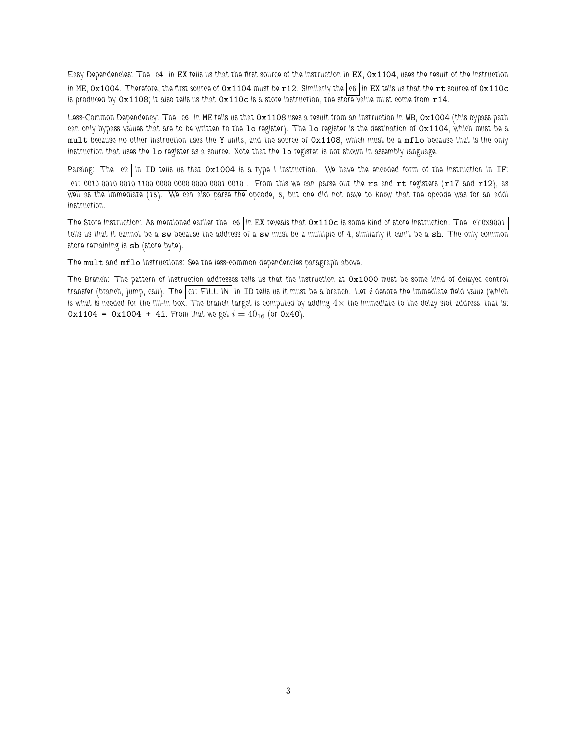Easy Dependencies: The c4 in EX tells us that the first source of the instruction in EX,  $0x1104$ , uses the result of the instruction in ME,  $0x1004$ . Therefore, the first source of  $0x1104$  must be  $r12$ . Similarly the  $\overline{c}6$  in EX tells us that the rt source of  $0x110c$ is produced by  $0x1108$ ; it also tells us that  $0x110c$  is a store instruction, the store value must come from  $r14$ .

Less-Common Dependency: The  $|c6|$  in ME tells us that  $0x1108$  uses a result from an instruction in WB,  $0x1004$  (this bypass path can only bypass values that are to be written to the 10 register). The 10 register is the destination of  $0x1104$ , which must be a mult because no other instruction uses the Y units, and the source of  $0x1108$ , which must be a mflo because that is the only instruction that uses the lo register as a source. Note that the lo register is not shown in assembly language.

Parsing: The  $|c2|$  in ID tells us that  $0x1004$  is a type I instruction. We have the encoded form of the instruction in IF:

c1: 0010 0010 0010 1100 0000 0000 0000 0001 0010 . From this we can parse out the rs and rt registers (r17 and r12), as well as the immediate (18). We can also parse the opcode, 8, but one did not have to know that the opcode was for an addi instruction.

The Store Instruction: As mentioned earlier the  $|c6|$  in EX reveals that  $Ox110c$  is some kind of store instruction. The  $|c7:0x9001|$ tells us that it cannot be a sw because the address of a sw must be a multiple of 4, similarly it can't be a sh. The only common store remaining is sb (store byte).

The mult and mflo Instructions: See the less-common dependencies paragraph above.

The Branch: The pattern of instruction addresses tells us that the instruction at 0x1000 must be some kind of delayed control transfer (branch, jump, call). The c1: FILL IN in ID tells us it must be a branch. Let i denote the immediate field value (which is what is needed for the fill-in box. The branch target is computed by adding  $4\times$  the immediate to the delay slot address, that is: 0x1104 = 0x1004 + 4i. From that we get  $i = 40_{16}$  (or 0x40).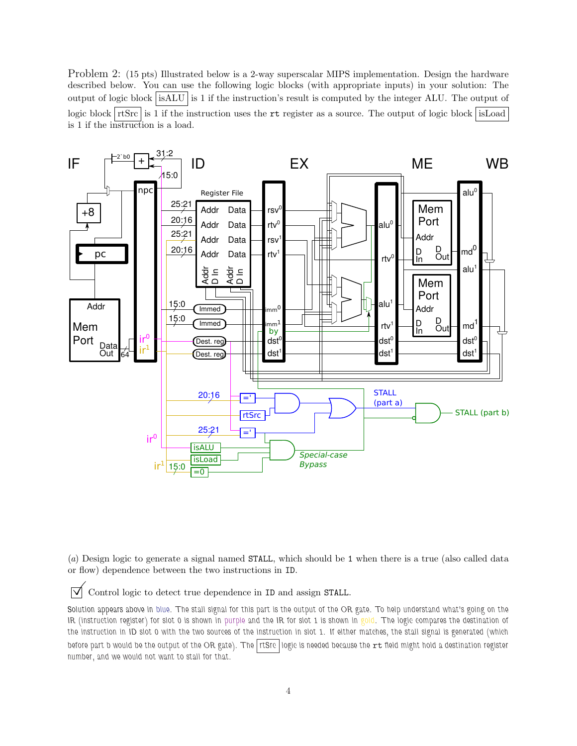Problem 2: (15 pts) Illustrated below is a 2-way superscalar MIPS implementation. Design the hardware described below. You can use the following logic blocks (with appropriate inputs) in your solution: The output of logic block isALU is 1 if the instruction's result is computed by the integer ALU. The output of logic block  $rtsrcs$  is 1 if the instruction uses the rt register as a source. The output of logic block isLoad is 1 if the instruction is a load.



(*a*) Design logic to generate a signal named STALL, which should be 1 when there is a true (also called data or flow) dependence between the two instructions in ID.

 $\triangledown$  Control logic to detect true dependence in ID and assign STALL.

Solution appears above in blue. The stall signal for this part is the output of the OR gate. To help understand what's going on the IR (instruction register) for slot 0 is shown in purple and the IR for slot 1 is shown in gold. The logic compares the destination of the instruction in ID slot 0 with the two sources of the instruction in slot 1. If either matches, the stall signal is generated (which before part b would be the output of the OR gate). The rtSrc logic is needed because the  $rt$  field might hold a destination register number, and we would not want to stall for that.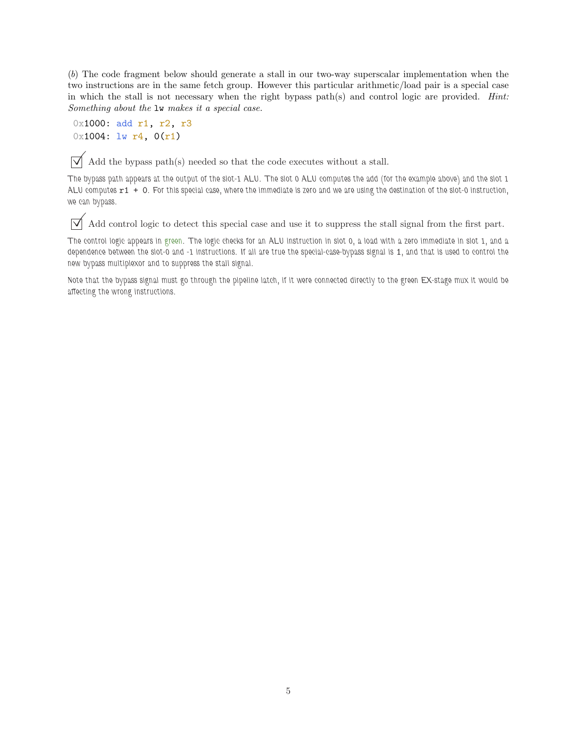(*b*) The code fragment below should generate a stall in our two-way superscalar implementation when the two instructions are in the same fetch group. However this particular arithmetic/load pair is a special case in which the stall is not necessary when the right bypass path(s) and control logic are provided. *Hint: Something about the* lw *makes it a special case.*

```
0x1000: add r1, r2, r3
0x1004: 1w r4, 0(r1)
```
 $\overrightarrow{\mathsf{A}}$  Add the bypass path(s) needed so that the code executes without a stall.

The bypass path appears at the output of the slot-1 ALU. The slot 0 ALU computes the add (for the example above) and the slot 1 ALU computes r1 + 0. For this special case, where the immediate is zero and we are using the destination of the slot-0 instruction, we can bypass.

 $\overline{\sqrt{\ }}$  Add control logic to detect this special case and use it to suppress the stall signal from the first part.

The control logic appears in green. The logic checks for an ALU instruction in slot 0, a load with a zero immediate in slot 1, and a dependence between the slot-0 and -1 instructions. If all are true the special-case-bypass signal is 1, and that is used to control the new bypass multiplexor and to suppress the stall signal.

Note that the bypass signal must go through the pipeline latch, if it were connected directly to the green EX-stage mux it would be affecting the wrong instructions.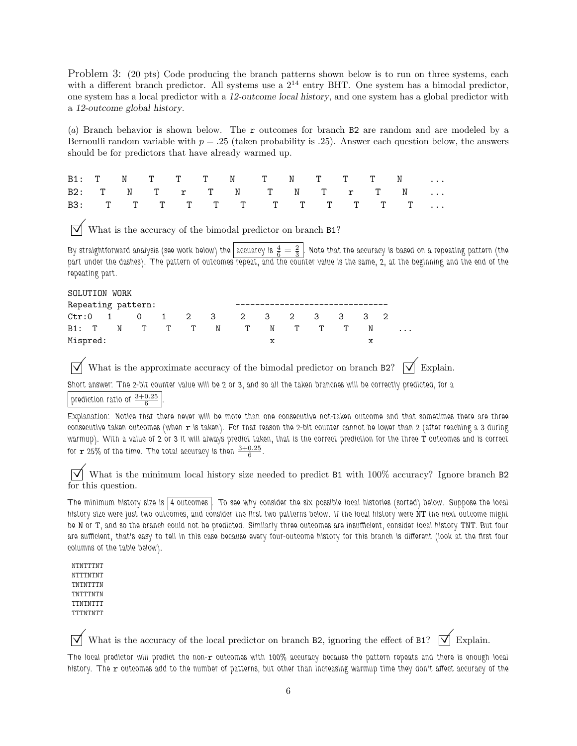Problem 3: (20 pts) Code producing the branch patterns shown below is to run on three systems, each with a different branch predictor. All systems use a  $2^{14}$  entry BHT. One system has a bimodal predictor, one system has a local predictor with a 12-outcome local history, and one system has a global predictor with a 12-outcome global history.

(*a*) Branch behavior is shown below. The r outcomes for branch B2 are random and are modeled by a Bernoulli random variable with  $p = .25$  (taken probability is .25). Answer each question below, the answers should be for predictors that have already warmed up.

|  |  |  | B1: T N T T T N T N T T T N |  |  |  |
|--|--|--|-----------------------------|--|--|--|
|  |  |  | B2: T N T T T N T N T T T N |  |  |  |
|  |  |  | B3: T T T T T T T T T T T T |  |  |  |

What is the accuracy of the bimodal predictor on branch B1?

By straightforward analysis (see work below) the accuarcy is  $\frac{4}{6}=\frac{2}{3}$  . Note that the accuracy is based on a repeating pattern (the part under the dashes). The pattern of outcomes repeat, and the counter value is the same, 2, at the beginning and the end of the repeating part.

| SOLUTION WORK |  |  |  |                    |  |                 |  |                               |  |  |  |         |
|---------------|--|--|--|--------------------|--|-----------------|--|-------------------------------|--|--|--|---------|
|               |  |  |  | Repeating pattern: |  |                 |  |                               |  |  |  |         |
|               |  |  |  |                    |  |                 |  | Ctr:0 1 0 1 2 3 2 3 2 3 3 3 2 |  |  |  |         |
|               |  |  |  |                    |  | B1: T N T T T N |  | TN TTT                        |  |  |  | $\cdot$ |
| Mispred:      |  |  |  |                    |  |                 |  | x                             |  |  |  |         |

What is the approximate accuracy of the bimodal predictor on branch B2?  $\overrightarrow{\mathsf{p}}$  Explain.

Short answer: The 2-bit counter value will be 2 or 3, and so all the taken branches will be correctly predicted, for a

prediction ratio of  $\frac{3+0.25}{6}$ 

.

Explanation: Notice that there never will be more than one consecutive not-taken outcome and that sometimes there are three consecutive taken outcomes (when  $r$  is taken). For that reason the 2-bit counter cannot be lower than 2 (after reaching a 3 during warmup). With a value of 2 or 3 it will always predict taken, that is the correct prediction for the three T outcomes and is correct for  $\mathbf{r}$  25% of the time. The total accuracy is then  $\frac{3+0.25}{6}$ .

 $\triangledown$  What is the minimum local history size needed to predict B1 with 100% accuracy? Ignore branch B2 for this question.

The minimum history size is |4 outcomes | To see why consider the six possible local histories (sorted) below. Suppose the local history size were just two outcomes, and consider the first two patterns below. If the local history were NT the next outcome might be N or T, and so the branch could not be predicted. Similarly three outcomes are insufficient, consider local history TNT. But four are sufficient, that's easy to tell in this case because every four-outcome history for this branch is different (look at the first four columns of the table below).

NTNTTTNT NTTTNTNT TNTNTTTN TNTTTNTN TTNTNTTT TTTNTNTT

 $\overrightarrow{\mathcal{A}}$  What is the accuracy of the local predictor on branch B2, ignoring the effect of B1?  $\overrightarrow{\mathcal{A}}$  Explain.

The local predictor will predict the non-r outcomes with 100% accuracy because the pattern repeats and there is enough local history. The r outcomes add to the number of patterns, but other than increasing warmup time they don't affect accuracy of the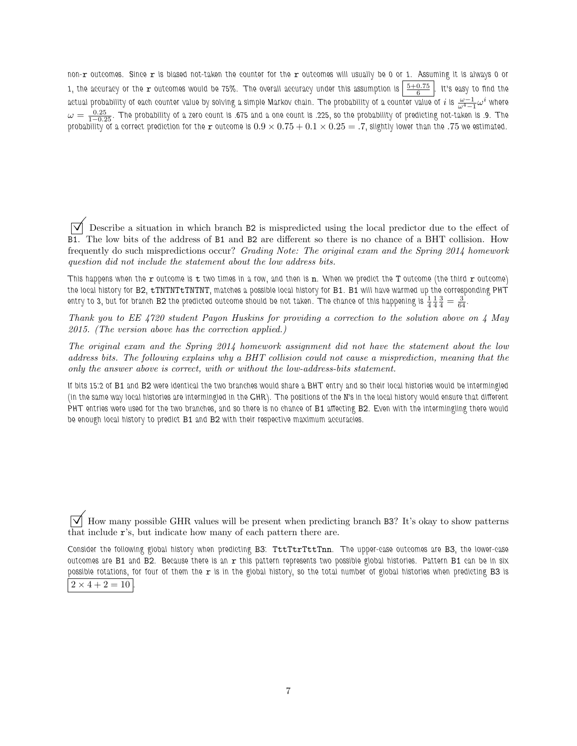non-r outcomes. Since r is biased not-taken the counter for the r outcomes will usually be 0 or 1. Assuming it is always 0 or 1, the accuracy or the  $\bm r$  outcomes would be 75%. The overall accuracy under this assumption is  $\left|\frac{5+0.75}{6}\right|$ . It's easy to find the actual probability of each counter value by solving a simple Markov chain. The probability of a counter value of  $i$  is  $\frac{\omega-1}{\omega^4-1}\omega^i$  where  $\omega=\frac{0.25}{1-0.25}$ . The probability of a zero count is .675 and a one count is .225, so the probability of predicting not-taken is .9. The probability of a correct prediction for the r outcome is  $0.9 \times 0.75 + 0.1 \times 0.25 = .7$ , slightly lower than the .75 we estimated.

 Describe a situation in which branch B2 is mispredicted using the local predictor due to the effect of B1. The low bits of the address of B1 and B2 are different so there is no chance of a BHT collision. How frequently do such mispredictions occur? *Grading Note: The original exam and the Spring 2014 homework question did not include the statement about the low address bits.*

This happens when the  $r$  outcome is  $t$  two times in a row, and then is  $n$ . When we predict the  $T$  outcome (the third  $r$  outcome) the local history for B2, tTNTNTtTNTNT, matches a possible local history for B1. B1 will have warmed up the corresponding PHT entry to 3, but for branch B2 the predicted outcome should be not taken. The chance of this happening is  $\frac14\frac14\frac34=\frac3{64}.$ 

*Thank you to EE 4720 student Payon Huskins for providing a correction to the solution above on 4 May 2015. (The version above has the correction applied.)*

*The original exam and the Spring 2014 homework assignment did not have the statement about the low address bits. The following explains why a BHT collision could not cause a misprediction, meaning that the only the answer above is correct, with or without the low-address-bits statement.*

If bits 15:2 of B1 and B2 were identical the two branches would share a BHT entry and so their local histories would be intermingled (in the same way local histories are intermingled in the GHR). The positions of the N's in the local history would ensure that different PHT entries were used for the two branches, and so there is no chance of B1 affecting B2. Even with the intermingling there would be enough local history to predict B1 and B2 with their respective maximum accuracies.

 $\overline{\vee}$  How many possible GHR values will be present when predicting branch B3? It's okay to show patterns that include r's, but indicate how many of each pattern there are.

Consider the following global history when predicting B3: TttTtrTttTnn. The upper-case outcomes are B3, the lower-case outcomes are B1 and B2. Because there is an r this pattern represents two possible global histories. Pattern B1 can be in six possible rotations, for four of them the  $r$  is in the global history, so the total number of global histories when predicting B3 is  $2 \times 4 + 2 = 10$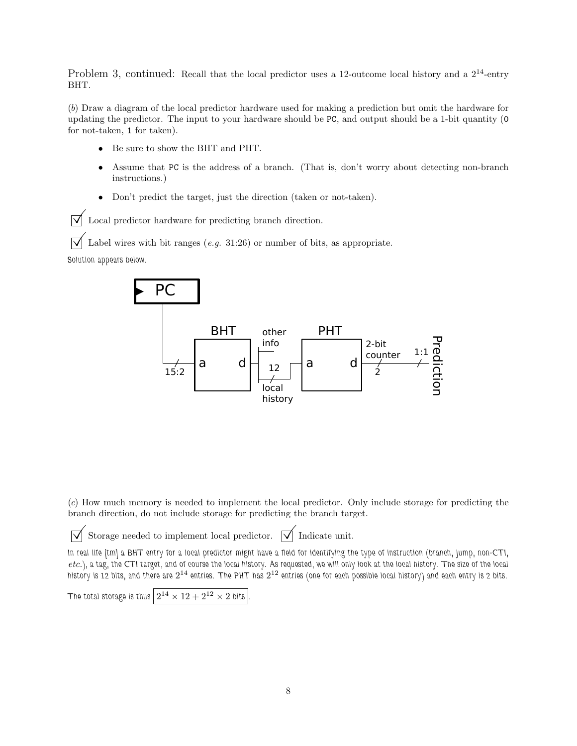Problem 3, continued: Recall that the local predictor uses a 12-outcome local history and a  $2^{14}$ -entry BHT.

(*b*) Draw a diagram of the local predictor hardware used for making a prediction but omit the hardware for updating the predictor. The input to your hardware should be PC, and output should be a 1-bit quantity (0 for not-taken, 1 for taken).

- Be sure to show the BHT and PHT.
- Assume that PC is the address of a branch. (That is, don't worry about detecting non-branch instructions.)
- Don't predict the target, just the direction (taken or not-taken).

 $\triangledown$  Local predictor hardware for predicting branch direction.

Label wires with bit ranges (*e.g.* 31:26) or number of bits, as appropriate.

Solution appears below.



(*c*) How much memory is needed to implement the local predictor. Only include storage for predicting the branch direction, do not include storage for predicting the branch target.

 $\overrightarrow{\mathcal{N}}$  Storage needed to implement local predictor.  $\overrightarrow{\mathcal{N}}$  Indicate unit.

In real life [tm] a BHT entry for a local predictor might have a field for identifying the type of instruction (branch, jump, non-CTI, *etc.*), a tag, the CTI target, and of course the local history. As requested, we will only look at the local history. The size of the local history is 12 bits, and there are  $2^{14}$  entries. The PHT has  $2^{12}$  entries (one for each possible local history) and each entry is 2 bits.

```
The total storage is thus \left\lfloor 2^{14} \times 12 + 2^{12} \times 2 \text{ bits} \right\rfloor.
```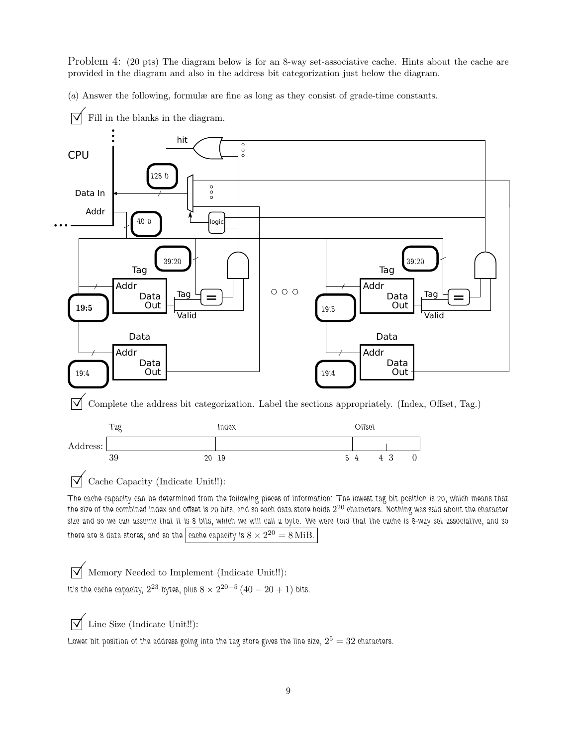Problem 4: (20 pts) The diagram below is for an 8-way set-associative cache. Hints about the cache are provided in the diagram and also in the address bit categorization just below the diagram.

(*a*) Answer the following, formulæ are fine as long as they consist of grade-time constants.



 $\triangledown$  Fill in the blanks in the diagram.

It's the cache capacity,  $2^{23}$  bytes, plus  $8 \times 2^{20-5} \left(40-20+1\right)$  bits.

 $\sqrt{\phantom{a}}$  Line Size (Indicate Unit!!):

Lower bit position of the address going into the tag store gives the line size,  $2^5 = 32$  characters.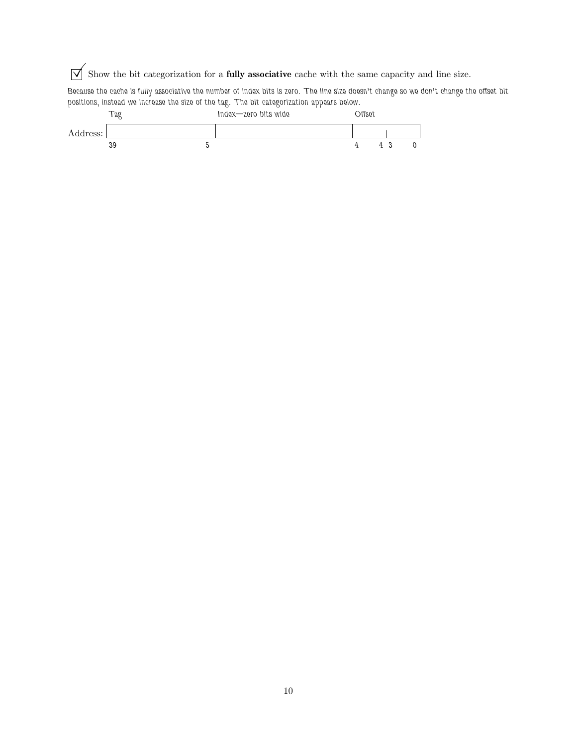$\overrightarrow{\mathcal{A}}$  Show the bit categorization for a **fully associative** cache with the same capacity and line size.

Because the cache is fully associative the number of index bits is zero. The line size doesn't change so we don't change the offset bit positions, instead we increase the size of the tag. The bit categorization appears below.

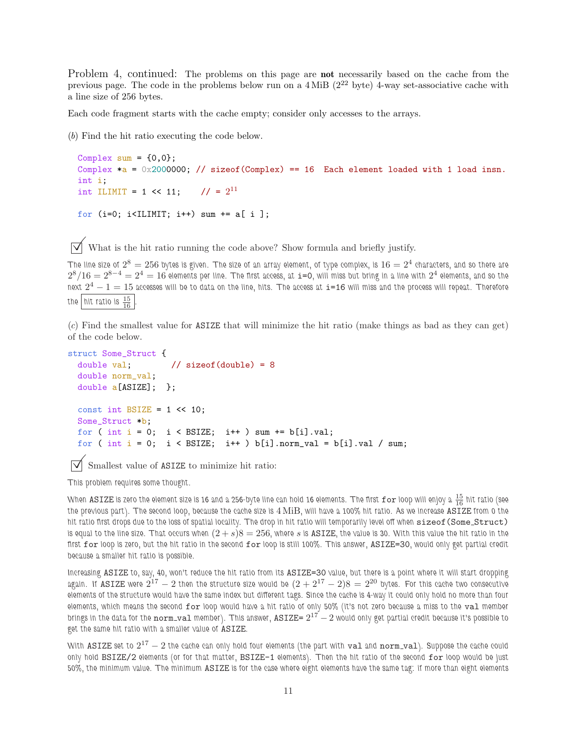Problem 4, continued: The problems on this page are **not** necessarily based on the cache from the previous page. The code in the problems below run on a 4 MiB (2<sup>22</sup> byte) 4-way set-associative cache with a line size of 256 bytes.

Each code fragment starts with the cache empty; consider only accesses to the arrays.

(*b*) Find the hit ratio executing the code below.

```
Complex sum = \{0,0\};Complex a = 0x2000000; // sizeof(Complex) == 16 Each element loaded with 1 load insn.
int i;
int ILIMIT = 1 << 11; // = 2^{11}for (i=0; i<ILIMIT; i++) sum += a[ i ];
```
 $\overrightarrow{\mathsf{V}}$  What is the hit ratio running the code above? Show formula and briefly justify.

The line size of  $2^8=256$  bytes is given. The size of an array element, of type complex, is  $16=2^4$  characters, and so there are  $2^8/16=2^{8-4}=2^4=16$  elements per line. The first access, at  $\mathtt{i=0}$ , will miss but bring in a line with  $2^4$  elements, and so the next  $2^4-1=15$  accesses will be to data on the line, hits. The access at  $\mathtt{i}=\mathtt{16}$  will miss and the process will repeat. Therefore the  $\left|$  hit ratio is  $\frac{15}{16}$  .

(*c*) Find the smallest value for ASIZE that will minimize the hit ratio (make things as bad as they can get) of the code below.

```
struct Some_Struct {
  double val; \frac{1}{16} // sizeof(double) = 8
  double norm_val;
  double a[ASIZE]; };
  const int BSIZE = 1 \leq 10;
  Some_Struct *b;
  for ( int i = 0; i < BSIZE; i++) sum += b[i].val;
  for ( int i = 0; i < BSIZE; i++) b[i].norm_val = b[i].val / sum;
```
Smallest value of ASIZE to minimize hit ratio:

This problem requires some thought.

When <code>ASIZE</code> is zero the element size is 16 and a 256-byte line can hold 16 elements. The first <code>for</code> loop will enjoy a  $\frac{15}{16}$  hit ratio (see the previous part). The second loop, because the cache size is 4 MiB, will have a 100% hit ratio. As we increase ASIZE from 0 the hit ratio first drops due to the loss of spatial locality. The drop in hit ratio will temporarily level off when sizeof (Some\_Struct) is equal to the line size. That occurs when  $(2 + s)8 = 256$ , where s is **ASIZE**, the value is 30. With this value the hit ratio in the first for loop is zero, but the hit ratio in the second for loop is still 100%. This answer, ASIZE=30, would only get partial credit because a smaller hit ratio is possible.

Increasing ASIZE to, say, 40, won't reduce the hit ratio from its ASIZE=30 value, but there is a point where it will start dropping again. If  $\overline{\rm ASIZE}$  were  $2^{17}-2$  then the structure size would be  $(2+2^{17}-2)8=2^{20}$  bytes. For this cache two consecutive elements of the structure would have the same index but different tags. Since the cache is 4-way it could only hold no more than four elements, which means the second for loop would have a hit ratio of only 50% (it's not zero because a miss to the val member brings in the data for the  $\tt norm\_val$  member). This answer,  $\tt ASIZE=2^{17} - 2$  would only get partial credit because it's possible to get the same hit ratio with a smaller value of ASIZE.

With <code>ASIZE</code> set to  $2^{17}-2$  the cache can only hold four elements (the part with  ${\tt val}$  and  ${\tt norm\_val}$ ). Suppose the cache could only hold BSIZE/2 elements (or for that matter, BSIZE-1 elements). Then the hit ratio of the second for loop would be just 50%, the minimum value. The minimum ASIZE is for the case where eight elements have the same tag: if more than eight elements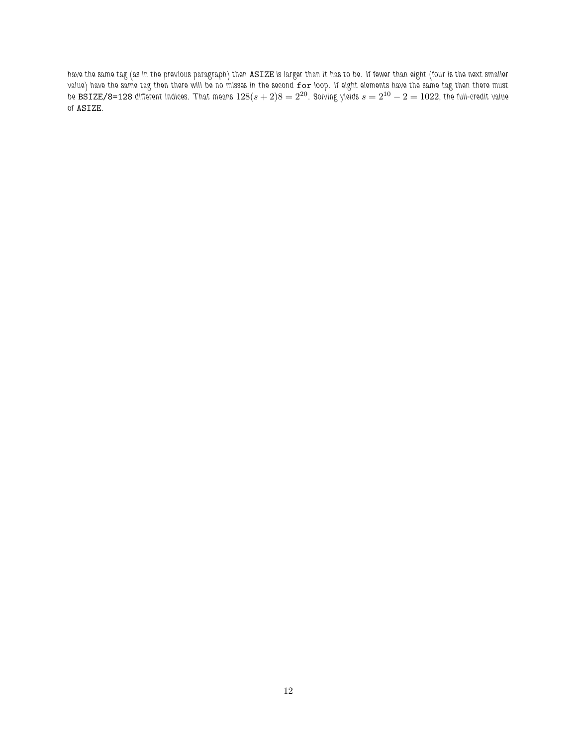have the same tag (as in the previous paragraph) then ASIZE is larger than it has to be. If fewer than eight (four is the next smaller value) have the same tag then there will be no misses in the second  ${\tt for}$  loop. If eight elements have the same tag then there must be  $\bar{\texttt{BSIZE}/8}$ =128 different indices. That means  $128(s+2)8=2^{20}.$  Solving yields  $s=2^{10}-2=1022,$  the full-credit value of ASIZE.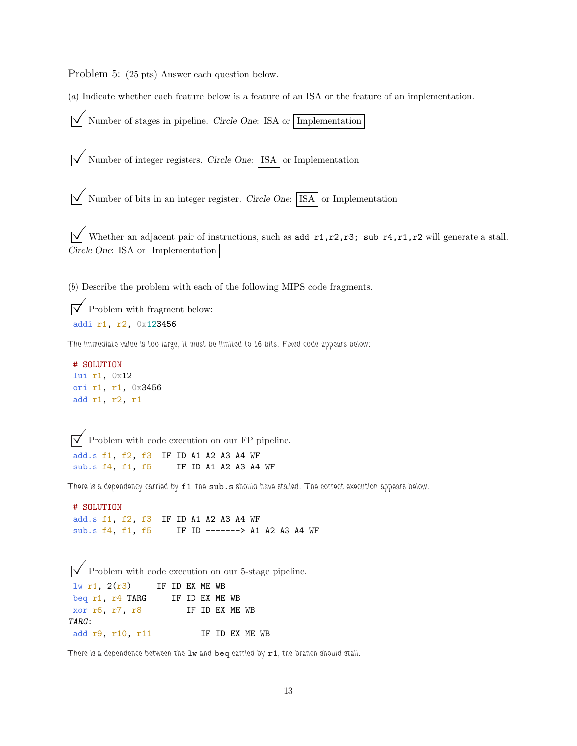Problem 5: (25 pts) Answer each question below.

(*a*) Indicate whether each feature below is a feature of an ISA or the feature of an implementation.

 $\overrightarrow{\mathsf{M}}$  Number of stages in pipeline. Circle One: ISA or Implementation  $\overline{V}$  Number of integer registers. Circle One: ISA or Implementation  $\overrightarrow{\mathcal{N}}$  Number of bits in an integer register. Circle One:  $\overrightarrow{\text{ISA}}$  or Implementation  $\overrightarrow{V}$  Whether an adjacent pair of instructions, such as add r1,r2,r3; sub r4,r1,r2 will generate a stall. Circle One: ISA or Implementation (*b*) Describe the problem with each of the following MIPS code fragments.

 $\triangledown$  Problem with fragment below: addi r1, r2, 0x123456

The immediate value is too large, it must be limited to 16 bits. Fixed code appears below:

```
# SOLUTION
lui r1, 0x12
ori r1, r1, 0x3456
add r1, r2, r1
```
 $\triangledown$  Problem with code execution on our FP pipeline. add.s f1, f2, f3 IF ID A1 A2 A3 A4 WF sub.s f4, f1, f5 IF ID A1 A2 A3 A4 WF

There is a dependency carried by f1, the sub.s should have stalled. The correct execution appears below.

```
# SOLUTION
add.s f1, f2, f3 IF ID A1 A2 A3 A4 WF
sub.s f4, f1, f5 IF ID -------> A1 A2 A3 A4 WF
```

```
\overline{\vee} Problem with code execution on our 5-stage pipeline.
\ln r1, 2(r3) IF ID EX ME WB
beq r1, r4 TARG IF ID EX ME WB
xor r6, r7, r8 IF ID EX ME WB
TARG:
add r9, r10, r11 IF ID EX ME WB
```
There is a dependence between the  $1w$  and beq carried by  $r1$ , the branch should stall.